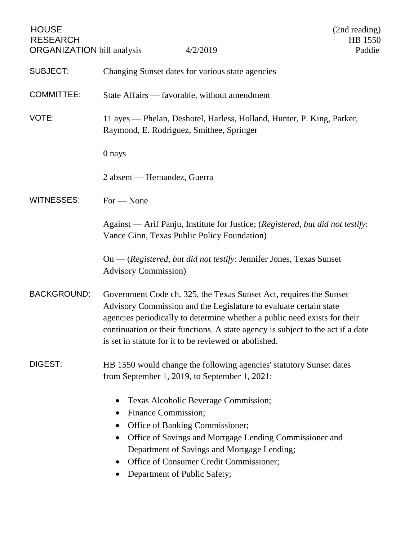| <b>HOUSE</b><br><b>RESEARCH</b><br><b>ORGANIZATION</b> bill analysis | 4/2/2019                                                                                                                                                                                                                                                                                                                                                         | (2nd reading)<br>HB 1550<br>Paddie |
|----------------------------------------------------------------------|------------------------------------------------------------------------------------------------------------------------------------------------------------------------------------------------------------------------------------------------------------------------------------------------------------------------------------------------------------------|------------------------------------|
| <b>SUBJECT:</b>                                                      | Changing Sunset dates for various state agencies                                                                                                                                                                                                                                                                                                                 |                                    |
| <b>COMMITTEE:</b>                                                    | State Affairs — favorable, without amendment                                                                                                                                                                                                                                                                                                                     |                                    |
| VOTE:                                                                | 11 ayes — Phelan, Deshotel, Harless, Holland, Hunter, P. King, Parker,<br>Raymond, E. Rodriguez, Smithee, Springer                                                                                                                                                                                                                                               |                                    |
|                                                                      | 0 nays                                                                                                                                                                                                                                                                                                                                                           |                                    |
|                                                                      | 2 absent — Hernandez, Guerra                                                                                                                                                                                                                                                                                                                                     |                                    |
| <b>WITNESSES:</b>                                                    | $For - None$                                                                                                                                                                                                                                                                                                                                                     |                                    |
|                                                                      | Against — Arif Panju, Institute for Justice; (Registered, but did not testify:<br>Vance Ginn, Texas Public Policy Foundation)                                                                                                                                                                                                                                    |                                    |
|                                                                      | On — (Registered, but did not testify: Jennifer Jones, Texas Sunset<br><b>Advisory Commission</b> )                                                                                                                                                                                                                                                              |                                    |
| <b>BACKGROUND:</b>                                                   | Government Code ch. 325, the Texas Sunset Act, requires the Sunset<br>Advisory Commission and the Legislature to evaluate certain state<br>agencies periodically to determine whether a public need exists for their<br>continuation or their functions. A state agency is subject to the act if a date<br>is set in statute for it to be reviewed or abolished. |                                    |
| DIGEST:                                                              | HB 1550 would change the following agencies' statutory Sunset dates<br>from September 1, 2019, to September 1, 2021:                                                                                                                                                                                                                                             |                                    |
|                                                                      | Texas Alcoholic Beverage Commission;<br>Finance Commission;<br>$\bullet$<br>Office of Banking Commissioner;<br>$\bullet$<br>Office of Savings and Mortgage Lending Commissioner and<br>$\bullet$<br>Department of Savings and Mortgage Lending;<br>Office of Consumer Credit Commissioner;<br>Department of Public Safety;                                       |                                    |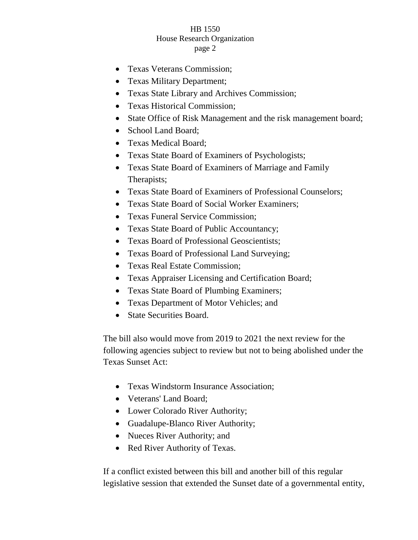## HB 1550 House Research Organization page 2

- Texas Veterans Commission;
- Texas Military Department;
- Texas State Library and Archives Commission;
- Texas Historical Commission;
- State Office of Risk Management and the risk management board;
- School Land Board:
- Texas Medical Board;
- Texas State Board of Examiners of Psychologists;
- Texas State Board of Examiners of Marriage and Family Therapists;
- Texas State Board of Examiners of Professional Counselors;
- Texas State Board of Social Worker Examiners;
- Texas Funeral Service Commission;
- Texas State Board of Public Accountancy;
- Texas Board of Professional Geoscientists;
- Texas Board of Professional Land Surveying;
- Texas Real Estate Commission;
- Texas Appraiser Licensing and Certification Board;
- Texas State Board of Plumbing Examiners;
- Texas Department of Motor Vehicles; and
- State Securities Board.

The bill also would move from 2019 to 2021 the next review for the following agencies subject to review but not to being abolished under the Texas Sunset Act:

- Texas Windstorm Insurance Association;
- Veterans' Land Board:
- Lower Colorado River Authority;
- Guadalupe-Blanco River Authority;
- Nueces River Authority; and
- Red River Authority of Texas.

If a conflict existed between this bill and another bill of this regular legislative session that extended the Sunset date of a governmental entity,